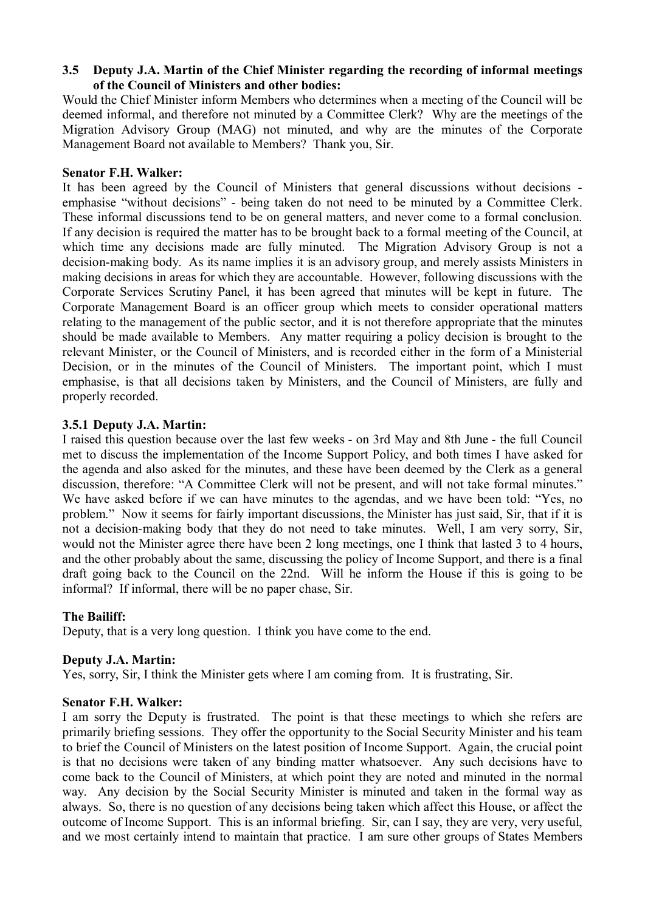# **3.5** � **Deputy J.A. Martin of the Chief Minister regarding the recording of informal meetings of the Council of Ministers and other bodies:**

Would the Chief Minister inform Members who determines when a meeting of the Council will be deemed informal, and therefore not minuted by a Committee Clerk? Why are the meetings of the Migration Advisory Group (MAG) not minuted, and why are the minutes of the Corporate Management Board not available to Members? Thank you, Sir.

### **Senator F.H. Walker:**

 These informal discussions tend to be on general matters, and never come to a formal conclusion. It has been agreed by the Council of Ministers that general discussions without decisions emphasise "without decisions" - being taken do not need to be minuted by a Committee Clerk. If any decision is required the matter has to be brought back to a formal meeting of the Council, at which time any decisions made are fully minuted. The Migration Advisory Group is not a decision-making body. As its name implies it is an advisory group, and merely assists Ministers in making decisions in areas for which they are accountable. However, following discussions with the Corporate Services Scrutiny Panel, it has been agreed that minutes will be kept in future. The Corporate Management Board is an officer group which meets to consider operational matters relating to the management of the public sector, and it is not therefore appropriate that the minutes should be made available to Members. Any matter requiring a policy decision is brought to the relevant Minister, or the Council of Ministers, and is recorded either in the form of a Ministerial Decision, or in the minutes of the Council of Ministers. The important point, which I must emphasise, is that all decisions taken by Ministers, and the Council of Ministers, are fully and properly recorded.

# **3.5.1 Deputy J.A. Martin:**

I raised this question because over the last few weeks - on 3rd May and 8th June - the full Council met to discuss the implementation of the Income Support Policy, and both times I have asked for the agenda and also asked for the minutes, and these have been deemed by the Clerk as a general discussion, therefore: "A Committee Clerk will not be present, and will not take formal minutes." We have asked before if we can have minutes to the agendas, and we have been told: "Yes, no problem." Now it seems for fairly important discussions, the Minister has just said, Sir, that if it is not a decision-making body that they do not need to take minutes. Well, I am very sorry, Sir, would not the Minister agree there have been 2 long meetings, one I think that lasted 3 to 4 hours, and the other probably about the same, discussing the policy of Income Support, and there is a final draft going back to the Council on the 22nd. Will he inform the House if this is going to be informal? If informal, there will be no paper chase, Sir.

# **The Bailiff:**

Deputy, that is a very long question. I think you have come to the end.

# **Deputy J.A. Martin:**

Yes, sorry, Sir, I think the Minister gets where I am coming from. It is frustrating, Sir.

# **Senator F.H. Walker:**

I am sorry the Deputy is frustrated. The point is that these meetings to which she refers are primarily briefing sessions. They offer the opportunity to the Social Security Minister and his team to brief the Council of Ministers on the latest position of Income Support. Again, the crucial point is that no decisions were taken of any binding matter whatsoever. Any such decisions have to come back to the Council of Ministers, at which point they are noted and minuted in the normal way. Any decision by the Social Security Minister is minuted and taken in the formal way as always. So, there is no question of any decisions being taken which affect this House, or affect the outcome of Income Support. This is an informal briefing. Sir, can I say, they are very, very useful, and we most certainly intend to maintain that practice. I am sure other groups of States Members